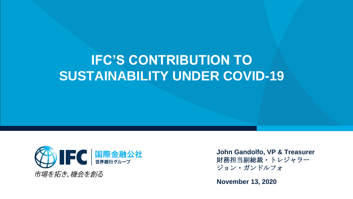# **IFC'S CONTRIBUTION TO SUSTAINABILITY UNDER COVID-19**



**John Gandolfo, VP & Treasurer** 財務担当副総裁・トレジャラー ジョン・ガンドルフォ

**November 13, 2020**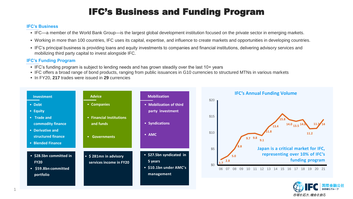# IFC's Business and Funding Program

#### **IFC's Business**

- IFC—a member of the World Bank Group—is the largest global development institution focused on the private sector in emerging markets.
- Working in more than 100 countries, IFC uses its capital, expertise, and influence to create markets and opportunities in developing countries.
- IFC's principal business is providing loans and equity investments to companies and financial institutions, delivering advisory services and mobilizing third party capital to invest alongside IFC.

#### **IFC's Funding Program**

- IFC's funding program is subject to lending needs and has grown steadily over the last 10+ years
- IFC offers a broad range of bond products, ranging from public issuances in G10 currencies to structured MTNs in various markets
- In FY20, **217** trades were issued in **29** currencies





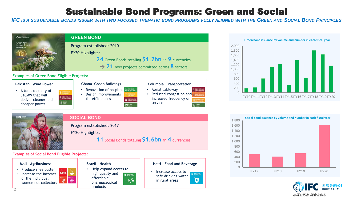# Sustainable Bond Programs: Green and Social

IFC IS A SUSTAINABLE BONDS ISSUER WITH TWO FOCUSED THEMATIC BOND PROGRAMS FULLY ALIGNED WITH THE GREEN AND SOCIAL BOND PRINCIPLES





Program established: 2017 FY20 Highlights: **11** Social Bonds totaling **\$1.6bn** in **4** currencies

**Examples of Social Bond Eligible Projects:** 

 $\begin{array}{c}\n10 \text{ years} \\
\leftarrow \\
\leftarrow \\
\downarrow\n\end{array}$ 

#### **Mali Agribusiness**

- Produce shea butter
- 麻神神 • Increase the incomes of the individual ේ women nut collectors

#### **Brazil Health**

• Help expand access to high quality and 3 GOOD HEALTH affordable –∿⁄∙ pharmaceutical products

#### **Haiti Food and Beverage**

- Increase access to safe drinking water in rural areas
	-

 $\overline{\mathbf{q}}$ 



![](_page_2_Figure_15.jpeg)

![](_page_2_Picture_16.jpeg)

2